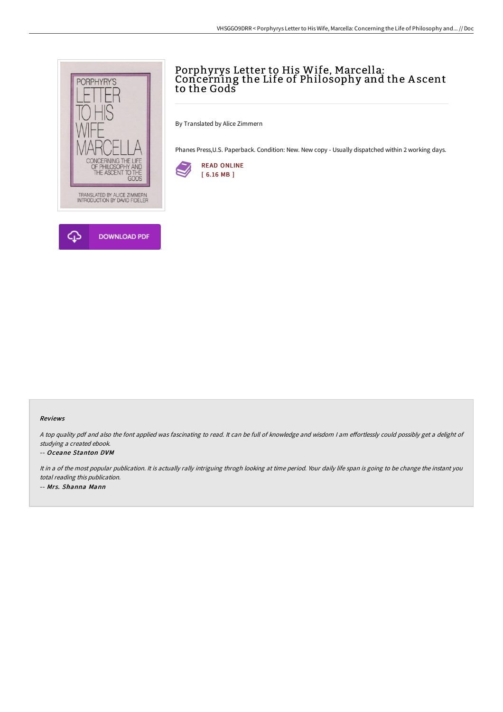

## Porphyrys Letter to His Wife, Marcella: Concerning the Life of Philosophy and the A scent to the Gods

By Translated by Alice Zimmern

Phanes Press,U.S. Paperback. Condition: New. New copy - Usually dispatched within 2 working days.



## Reviews

A top quality pdf and also the font applied was fascinating to read. It can be full of knowledge and wisdom I am effortlessly could possibly get a delight of studying <sup>a</sup> created ebook.

## -- Oceane Stanton DVM

It in a of the most popular publication. It is actually rally intriguing throgh looking at time period. Your daily life span is going to be change the instant you total reading this publication. -- Mrs. Shanna Mann